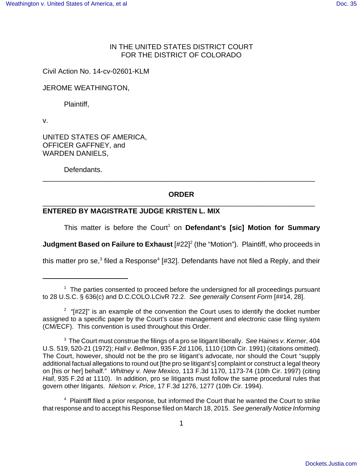# IN THE UNITED STATES DISTRICT COURT FOR THE DISTRICT OF COLORADO

Civil Action No. 14-cv-02601-KLM

JEROME WEATHINGTON,

Plaintiff,

v.

UNITED STATES OF AMERICA, OFFICER GAFFNEY, and WARDEN DANIELS,

Defendants.

# **ORDER** \_\_\_\_\_\_\_\_\_\_\_\_\_\_\_\_\_\_\_\_\_\_\_\_\_\_\_\_\_\_\_\_\_\_\_\_\_\_\_\_\_\_\_\_\_\_\_\_\_\_\_\_\_\_\_\_\_\_\_\_\_\_\_\_\_\_\_\_\_

\_\_\_\_\_\_\_\_\_\_\_\_\_\_\_\_\_\_\_\_\_\_\_\_\_\_\_\_\_\_\_\_\_\_\_\_\_\_\_\_\_\_\_\_\_\_\_\_\_\_\_\_\_\_\_\_\_\_\_\_\_\_\_\_\_\_\_\_\_

# **ENTERED BY MAGISTRATE JUDGE KRISTEN L. MIX**

This matter is before the Court<sup>1</sup> on Defendant's [sic] Motion for Summary

**Judgment Based on Failure to Exhaust** [#22]<sup>2</sup> (the "Motion"). Plaintiff, who proceeds in

this matter pro se,<sup>3</sup> filed a Response<sup>4</sup> [#32]. Defendants have not filed a Reply, and their

 $1$  The parties consented to proceed before the undersigned for all proceedings pursuant to 28 U.S.C. § 636(c) and D.C.COLO.LCivR 72.2. See generally Consent Form [##14, 28].

 $2$  "[#22]" is an example of the convention the Court uses to identify the docket number assigned to a specific paper by the Court's case management and electronic case filing system (CM/ECF). This convention is used throughout this Order.

 $3$  The Court must construe the filings of a pro se litigant liberally. See Haines v. Kerner, 404 U.S. 519, 520-21 (1972); Hall v. Bellmon, 935 F.2d 1106, 1110 (10th Cir. 1991) (citations omitted). The Court, however, should not be the pro se litigant's advocate, nor should the Court "supply additional factual allegations to round out [the pro se litigant's] complaint or construct a legal theory on [his or her] behalf." Whitney v. New Mexico, 113 F.3d 1170, 1173-74 (10th Cir. 1997) (citing Hall, 935 F.2d at 1110). In addition, pro se litigants must follow the same procedural rules that govern other litigants. Nielson v. Price, 17 F.3d 1276, 1277 (10th Cir. 1994).

<sup>&</sup>lt;sup>4</sup> Plaintiff filed a prior response, but informed the Court that he wanted the Court to strike that response and to accept his Response filed on March 18, 2015. See generally Notice Informing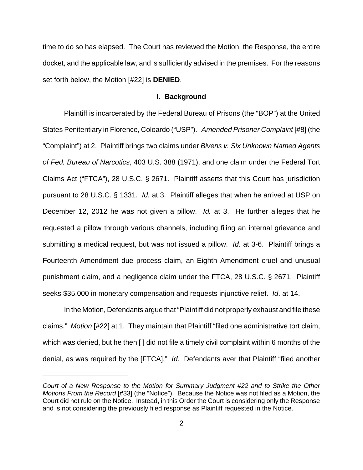time to do so has elapsed. The Court has reviewed the Motion, the Response, the entire docket, and the applicable law, and is sufficiently advised in the premises. For the reasons set forth below, the Motion [#22] is **DENIED**.

#### **I. Background**

Plaintiff is incarcerated by the Federal Bureau of Prisons (the "BOP") at the United States Penitentiary in Florence, Coloardo ("USP"). Amended Prisoner Complaint [#8] (the "Complaint") at 2. Plaintiff brings two claims under Bivens v. Six Unknown Named Agents of Fed. Bureau of Narcotics, 403 U.S. 388 (1971), and one claim under the Federal Tort Claims Act ("FTCA"), 28 U.S.C. § 2671. Plaintiff asserts that this Court has jurisdiction pursuant to 28 U.S.C. § 1331. Id. at 3. Plaintiff alleges that when he arrived at USP on December 12, 2012 he was not given a pillow. Id. at 3. He further alleges that he requested a pillow through various channels, including filing an internal grievance and submitting a medical request, but was not issued a pillow. Id. at 3-6. Plaintiff brings a Fourteenth Amendment due process claim, an Eighth Amendment cruel and unusual punishment claim, and a negligence claim under the FTCA, 28 U.S.C. § 2671. Plaintiff seeks \$35,000 in monetary compensation and requests injunctive relief. Id. at 14.

In the Motion, Defendants argue that "Plaintiff did not properly exhaust and file these claims." Motion [#22] at 1. They maintain that Plaintiff "filed one administrative tort claim, which was denied, but he then [ ] did not file a timely civil complaint within 6 months of the denial, as was required by the [FTCA]." Id. Defendants aver that Plaintiff "filed another

Court of a New Response to the Motion for Summary Judgment #22 and to Strike the Other Motions From the Record [#33] (the "Notice"). Because the Notice was not filed as a Motion, the Court did not rule on the Notice. Instead, in this Order the Court is considering only the Response and is not considering the previously filed response as Plaintiff requested in the Notice.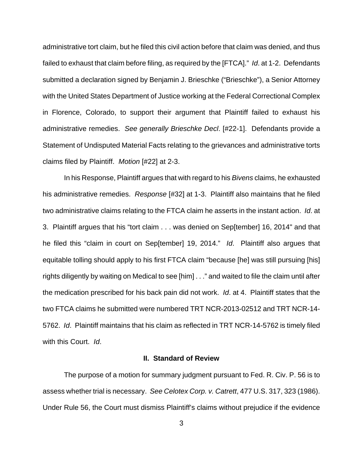administrative tort claim, but he filed this civil action before that claim was denied, and thus failed to exhaust that claim before filing, as required by the [FTCA]." Id. at 1-2. Defendants submitted a declaration signed by Benjamin J. Brieschke ("Brieschke"), a Senior Attorney with the United States Department of Justice working at the Federal Correctional Complex in Florence, Colorado, to support their argument that Plaintiff failed to exhaust his administrative remedies. See generally Brieschke Decl. [#22-1]. Defendants provide a Statement of Undisputed Material Facts relating to the grievances and administrative torts claims filed by Plaintiff. Motion [#22] at 2-3.

In his Response, Plaintiff argues that with regard to his Bivens claims, he exhausted his administrative remedies. Response [#32] at 1-3. Plaintiff also maintains that he filed two administrative claims relating to the FTCA claim he asserts in the instant action. Id. at 3. Plaintiff argues that his "tort claim . . . was denied on Sep[tember] 16, 2014" and that he filed this "claim in court on Sep[tember] 19, 2014." Id. Plaintiff also argues that equitable tolling should apply to his first FTCA claim "because [he] was still pursuing [his] rights diligently by waiting on Medical to see [him] . . ." and waited to file the claim until after the medication prescribed for his back pain did not work. Id. at 4. Plaintiff states that the two FTCA claims he submitted were numbered TRT NCR-2013-02512 and TRT NCR-14- 5762. Id. Plaintiff maintains that his claim as reflected in TRT NCR-14-5762 is timely filed with this Court. Id.

### **II. Standard of Review**

The purpose of a motion for summary judgment pursuant to Fed. R. Civ. P. 56 is to assess whether trial is necessary. See Celotex Corp. v. Catrett, 477 U.S. 317, 323 (1986). Under Rule 56, the Court must dismiss Plaintiff's claims without prejudice if the evidence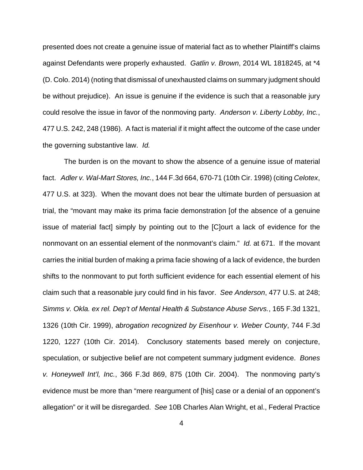presented does not create a genuine issue of material fact as to whether Plaintiff's claims against Defendants were properly exhausted. Gatlin v. Brown, 2014 WL 1818245, at \*4 (D. Colo. 2014) (noting that dismissal of unexhausted claims on summary judgment should be without prejudice). An issue is genuine if the evidence is such that a reasonable jury could resolve the issue in favor of the nonmoving party. Anderson v. Liberty Lobby, Inc., 477 U.S. 242, 248 (1986). A fact is material if it might affect the outcome of the case under the governing substantive law. Id.

The burden is on the movant to show the absence of a genuine issue of material fact. Adler v. Wal-Mart Stores, Inc., 144 F.3d 664, 670-71 (10th Cir. 1998) (citing Celotex, 477 U.S. at 323). When the movant does not bear the ultimate burden of persuasion at trial, the "movant may make its prima facie demonstration [of the absence of a genuine issue of material fact] simply by pointing out to the [C]ourt a lack of evidence for the nonmovant on an essential element of the nonmovant's claim." Id. at 671. If the movant carries the initial burden of making a prima facie showing of a lack of evidence, the burden shifts to the nonmovant to put forth sufficient evidence for each essential element of his claim such that a reasonable jury could find in his favor. See Anderson, 477 U.S. at 248; Simms v. Okla. ex rel. Dep't of Mental Health & Substance Abuse Servs., 165 F.3d 1321, 1326 (10th Cir. 1999), abrogation recognized by Eisenhour v. Weber County, 744 F.3d 1220, 1227 (10th Cir. 2014). Conclusory statements based merely on conjecture, speculation, or subjective belief are not competent summary judgment evidence. Bones v. Honeywell Int'l, Inc., 366 F.3d 869, 875 (10th Cir. 2004). The nonmoving party's evidence must be more than "mere reargument of [his] case or a denial of an opponent's allegation" or it will be disregarded. See 10B Charles Alan Wright, et al., Federal Practice

4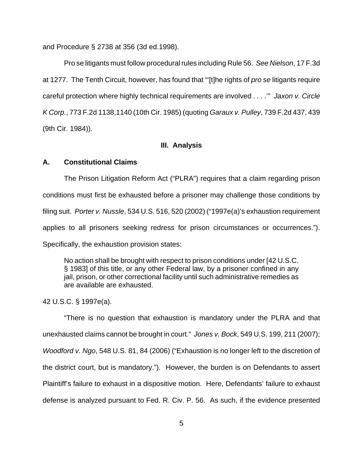and Procedure § 2738 at 356 (3d ed.1998).

Pro se litigants must follow procedural rules including Rule 56. See Nielson, 17 F.3d at 1277. The Tenth Circuit, however, has found that "[t]he rights of pro se litigants require careful protection where highly technical requirements are involved . . . .'" Jaxon v. Circle K Corp., 773 F.2d 1138,1140 (10th Cir. 1985) (quoting Garaux v. Pulley, 739 F.2d 437, 439 (9th Cir. 1984)).

### **III. Analysis**

### **A. Constitutional Claims**

The Prison Litigation Reform Act ("PLRA") requires that a claim regarding prison conditions must first be exhausted before a prisoner may challenge those conditions by filing suit. Porter v. Nussle, 534 U.S. 516, 520 (2002) ("1997e(a)'s exhaustion requirement applies to all prisoners seeking redress for prison circumstances or occurrences."). Specifically, the exhaustion provision states:

No action shall be brought with respect to prison conditions under [42 U.S.C. § 1983] of this title, or any other Federal law, by a prisoner confined in any jail, prison, or other correctional facility until such administrative remedies as are available are exhausted.

42 U.S.C. § 1997e(a).

"There is no question that exhaustion is mandatory under the PLRA and that unexhausted claims cannot be brought in court." Jones v. Bock, 549 U.S. 199, 211 (2007); Woodford v. Ngo, 548 U.S. 81, 84 (2006) ("Exhaustion is no longer left to the discretion of the district court, but is mandatory."). However, the burden is on Defendants to assert Plaintiff's failure to exhaust in a dispositive motion. Here, Defendants' failure to exhaust defense is analyzed pursuant to Fed. R. Civ. P. 56. As such, if the evidence presented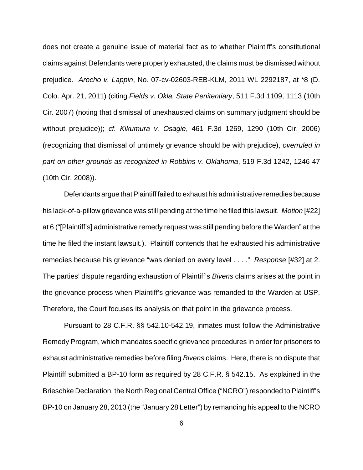does not create a genuine issue of material fact as to whether Plaintiff's constitutional claims against Defendants were properly exhausted, the claims must be dismissed without prejudice. Arocho v. Lappin, No. 07-cv-02603-REB-KLM, 2011 WL 2292187, at \*8 (D. Colo. Apr. 21, 2011) (citing Fields v. Okla. State Penitentiary, 511 F.3d 1109, 1113 (10th Cir. 2007) (noting that dismissal of unexhausted claims on summary judgment should be without prejudice)); cf. Kikumura v. Osagie, 461 F.3d 1269, 1290 (10th Cir. 2006) (recognizing that dismissal of untimely grievance should be with prejudice), overruled in part on other grounds as recognized in Robbins v. Oklahoma, 519 F.3d 1242, 1246-47 (10th Cir. 2008)).

Defendants argue that Plaintiff failed to exhaust his administrative remedies because his lack-of-a-pillow grievance was still pending at the time he filed this lawsuit. Motion [#22] at 6 ("[Plaintiff's] administrative remedy request was still pending before the Warden" at the time he filed the instant lawsuit.). Plaintiff contends that he exhausted his administrative remedies because his grievance "was denied on every level . . . ." Response [#32] at 2. The parties' dispute regarding exhaustion of Plaintiff's *Bivens* claims arises at the point in the grievance process when Plaintiff's grievance was remanded to the Warden at USP. Therefore, the Court focuses its analysis on that point in the grievance process.

Pursuant to 28 C.F.R. §§ 542.10-542.19, inmates must follow the Administrative Remedy Program, which mandates specific grievance procedures in order for prisoners to exhaust administrative remedies before filing Bivens claims. Here, there is no dispute that Plaintiff submitted a BP-10 form as required by 28 C.F.R. § 542.15. As explained in the Brieschke Declaration, the North Regional Central Office ("NCRO") responded to Plaintiff's BP-10 on January 28, 2013 (the "January 28 Letter") by remanding his appeal to the NCRO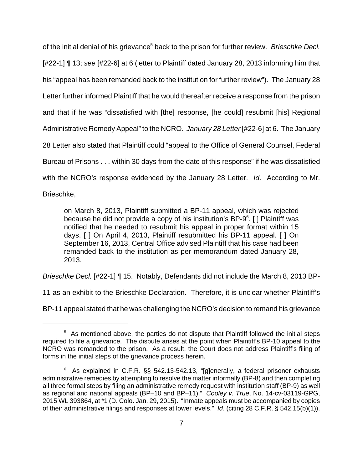of the initial denial of his grievance<sup>5</sup> back to the prison for further review. Brieschke Decl. [#22-1] ¶ 13; see [#22-6] at 6 (letter to Plaintiff dated January 28, 2013 informing him that his "appeal has been remanded back to the institution for further review"). The January 28 Letter further informed Plaintiff that he would thereafter receive a response from the prison and that if he was "dissatisfied with [the] response, [he could] resubmit [his] Regional Administrative Remedy Appeal" to the NCRO. January 28 Letter [#22-6] at 6. The January 28 Letter also stated that Plaintiff could "appeal to the Office of General Counsel, Federal Bureau of Prisons . . . within 30 days from the date of this response" if he was dissatisfied with the NCRO's response evidenced by the January 28 Letter. *Id.* According to Mr.

Brieschke,

on March 8, 2013, Plaintiff submitted a BP-11 appeal, which was rejected because he did not provide a copy of his institution's BP-9 $6$ . [] Plaintiff was notified that he needed to resubmit his appeal in proper format within 15 days. [ ] On April 4, 2013, Plaintiff resubmitted his BP-11 appeal. [ ] On September 16, 2013, Central Office advised Plaintiff that his case had been remanded back to the institution as per memorandum dated January 28, 2013.

Brieschke Decl. [#22-1] ¶ 15. Notably, Defendants did not include the March 8, 2013 BP-

11 as an exhibit to the Brieschke Declaration. Therefore, it is unclear whether Plaintiff's

BP-11 appeal stated that he was challenging the NCRO's decision to remand his grievance

<sup>&</sup>lt;sup>5</sup> As mentioned above, the parties do not dispute that Plaintiff followed the initial steps required to file a grievance. The dispute arises at the point when Plaintiff's BP-10 appeal to the NCRO was remanded to the prison. As a result, the Court does not address Plaintiff's filing of forms in the initial steps of the grievance process herein.

 $6$  As explained in C.F.R. §§ 542.13-542.13, "[g]enerally, a federal prisoner exhausts administrative remedies by attempting to resolve the matter informally (BP-8) and then completing all three formal steps by filing an administrative remedy request with institution staff (BP-9) as well as regional and national appeals (BP–10 and BP–11)." Cooley v. True, No. 14-cv-03119-GPG, 2015 WL 393864, at \*1 (D. Colo. Jan. 29, 2015). "Inmate appeals must be accompanied by copies of their administrative filings and responses at lower levels." Id. (citing 28 C.F.R. § 542.15(b)(1)).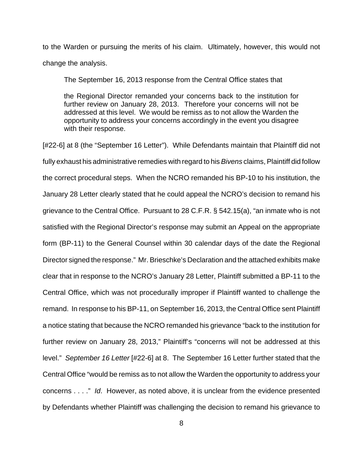to the Warden or pursuing the merits of his claim. Ultimately, however, this would not change the analysis.

The September 16, 2013 response from the Central Office states that

the Regional Director remanded your concerns back to the institution for further review on January 28, 2013. Therefore your concerns will not be addressed at this level. We would be remiss as to not allow the Warden the opportunity to address your concerns accordingly in the event you disagree with their response.

[#22-6] at 8 (the "September 16 Letter"). While Defendants maintain that Plaintiff did not fully exhaust his administrative remedies with regard to his *Bivens* claims, Plaintiff did follow the correct procedural steps. When the NCRO remanded his BP-10 to his institution, the January 28 Letter clearly stated that he could appeal the NCRO's decision to remand his grievance to the Central Office. Pursuant to 28 C.F.R. § 542.15(a), "an inmate who is not satisfied with the Regional Director's response may submit an Appeal on the appropriate form (BP-11) to the General Counsel within 30 calendar days of the date the Regional Director signed the response." Mr. Brieschke's Declaration and the attached exhibits make clear that in response to the NCRO's January 28 Letter, Plaintiff submitted a BP-11 to the Central Office, which was not procedurally improper if Plaintiff wanted to challenge the remand. In response to his BP-11, on September 16, 2013, the Central Office sent Plaintiff a notice stating that because the NCRO remanded his grievance "back to the institution for further review on January 28, 2013," Plaintiff's "concerns will not be addressed at this level." September 16 Letter [#22-6] at 8. The September 16 Letter further stated that the Central Office "would be remiss as to not allow the Warden the opportunity to address your concerns . . . ." Id. However, as noted above, it is unclear from the evidence presented by Defendants whether Plaintiff was challenging the decision to remand his grievance to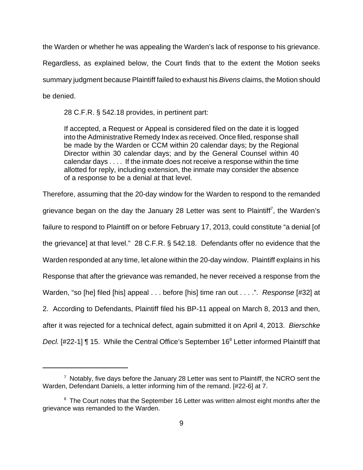the Warden or whether he was appealing the Warden's lack of response to his grievance.

Regardless, as explained below, the Court finds that to the extent the Motion seeks summary judgment because Plaintiff failed to exhaust his Bivens claims, the Motion should be denied.

28 C.F.R. § 542.18 provides, in pertinent part:

If accepted, a Request or Appeal is considered filed on the date it is logged into the Administrative Remedy Index as received. Once filed, response shall be made by the Warden or CCM within 20 calendar days; by the Regional Director within 30 calendar days; and by the General Counsel within 40 calendar days . . . . If the inmate does not receive a response within the time allotted for reply, including extension, the inmate may consider the absence of a response to be a denial at that level.

Therefore, assuming that the 20-day window for the Warden to respond to the remanded grievance began on the day the January 28 Letter was sent to Plaintiff<sup>7</sup>, the Warden's failure to respond to Plaintiff on or before February 17, 2013, could constitute "a denial [of the grievance] at that level." 28 C.F.R. § 542.18. Defendants offer no evidence that the Warden responded at any time, let alone within the 20-day window. Plaintiff explains in his Response that after the grievance was remanded, he never received a response from the Warden, "so [he] filed [his] appeal . . . before [his] time ran out . . . .". Response [#32] at 2. According to Defendants, Plaintiff filed his BP-11 appeal on March 8, 2013 and then, after it was rejected for a technical defect, again submitted it on April 4, 2013. Bierschke Decl. [#22-1] ¶ 15. While the Central Office's September 16<sup>8</sup> Letter informed Plaintiff that

 $7$  Notably, five days before the January 28 Letter was sent to Plaintiff, the NCRO sent the Warden, Defendant Daniels, a letter informing him of the remand. [#22-6] at 7.

 $8<sup>8</sup>$  The Court notes that the September 16 Letter was written almost eight months after the grievance was remanded to the Warden.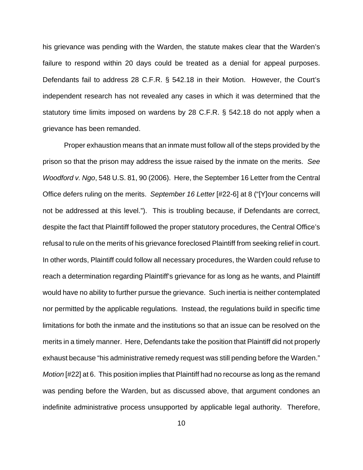his grievance was pending with the Warden, the statute makes clear that the Warden's failure to respond within 20 days could be treated as a denial for appeal purposes. Defendants fail to address 28 C.F.R. § 542.18 in their Motion. However, the Court's independent research has not revealed any cases in which it was determined that the statutory time limits imposed on wardens by 28 C.F.R. § 542.18 do not apply when a grievance has been remanded.

Proper exhaustion means that an inmate must follow all of the steps provided by the prison so that the prison may address the issue raised by the inmate on the merits. See Woodford v. Ngo, 548 U.S. 81, 90 (2006). Here, the September 16 Letter from the Central Office defers ruling on the merits. September 16 Letter [#22-6] at 8 ("[Y]our concerns will not be addressed at this level."). This is troubling because, if Defendants are correct, despite the fact that Plaintiff followed the proper statutory procedures, the Central Office's refusal to rule on the merits of his grievance foreclosed Plaintiff from seeking relief in court. In other words, Plaintiff could follow all necessary procedures, the Warden could refuse to reach a determination regarding Plaintiff's grievance for as long as he wants, and Plaintiff would have no ability to further pursue the grievance. Such inertia is neither contemplated nor permitted by the applicable regulations. Instead, the regulations build in specific time limitations for both the inmate and the institutions so that an issue can be resolved on the merits in a timely manner. Here, Defendants take the position that Plaintiff did not properly exhaust because "his administrative remedy request was still pending before the Warden." Motion [#22] at 6. This position implies that Plaintiff had no recourse as long as the remand was pending before the Warden, but as discussed above, that argument condones an indefinite administrative process unsupported by applicable legal authority. Therefore,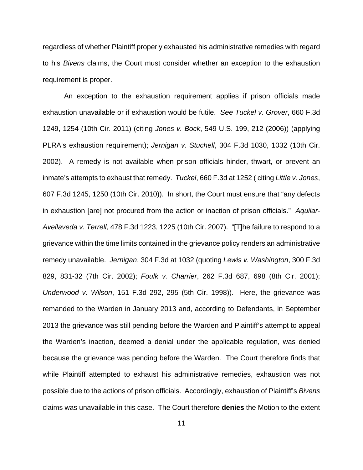regardless of whether Plaintiff properly exhausted his administrative remedies with regard to his Bivens claims, the Court must consider whether an exception to the exhaustion requirement is proper.

An exception to the exhaustion requirement applies if prison officials made exhaustion unavailable or if exhaustion would be futile. See Tuckel v. Grover, 660 F.3d 1249, 1254 (10th Cir. 2011) (citing Jones v. Bock, 549 U.S. 199, 212 (2006)) (applying PLRA's exhaustion requirement); Jernigan v. Stuchell, 304 F.3d 1030, 1032 (10th Cir. 2002). A remedy is not available when prison officials hinder, thwart, or prevent an inmate's attempts to exhaust that remedy. Tuckel, 660 F.3d at 1252 (citing Little v. Jones, 607 F.3d 1245, 1250 (10th Cir. 2010)). In short, the Court must ensure that "any defects in exhaustion [are] not procured from the action or inaction of prison officials." Aquilar-Avellaveda v. Terrell, 478 F.3d 1223, 1225 (10th Cir. 2007). "[T]he failure to respond to a grievance within the time limits contained in the grievance policy renders an administrative remedy unavailable. Jernigan, 304 F.3d at 1032 (quoting Lewis v. Washington, 300 F.3d 829, 831-32 (7th Cir. 2002); Foulk v. Charrier, 262 F.3d 687, 698 (8th Cir. 2001); Underwood v. Wilson, 151 F.3d 292, 295 (5th Cir. 1998)). Here, the grievance was remanded to the Warden in January 2013 and, according to Defendants, in September 2013 the grievance was still pending before the Warden and Plaintiff's attempt to appeal the Warden's inaction, deemed a denial under the applicable regulation, was denied because the grievance was pending before the Warden. The Court therefore finds that while Plaintiff attempted to exhaust his administrative remedies, exhaustion was not possible due to the actions of prison officials. Accordingly, exhaustion of Plaintiff's Bivens claims was unavailable in this case. The Court therefore **denies** the Motion to the extent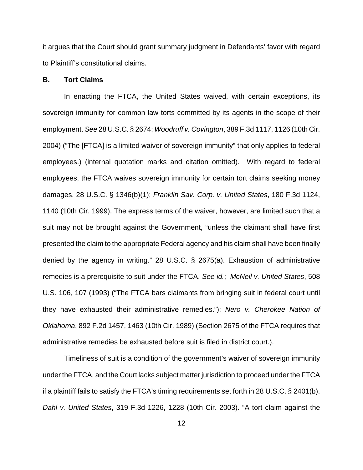it argues that the Court should grant summary judgment in Defendants' favor with regard to Plaintiff's constitutional claims.

## **B. Tort Claims**

In enacting the FTCA, the United States waived, with certain exceptions, its sovereign immunity for common law torts committed by its agents in the scope of their employment. See 28 U.S.C. § 2674; Woodruff v. Covington, 389 F.3d 1117, 1126 (10th Cir. 2004) ("The [FTCA] is a limited waiver of sovereign immunity" that only applies to federal employees.) (internal quotation marks and citation omitted). With regard to federal employees, the FTCA waives sovereign immunity for certain tort claims seeking money damages. 28 U.S.C. § 1346(b)(1); Franklin Sav. Corp. v. United States, 180 F.3d 1124, 1140 (10th Cir. 1999). The express terms of the waiver, however, are limited such that a suit may not be brought against the Government, "unless the claimant shall have first presented the claim to the appropriate Federal agency and his claim shall have been finally denied by the agency in writing." 28 U.S.C. § 2675(a). Exhaustion of administrative remedies is a prerequisite to suit under the FTCA. See id.; McNeil v. United States, 508 U.S. 106, 107 (1993) ("The FTCA bars claimants from bringing suit in federal court until they have exhausted their administrative remedies."); Nero v. Cherokee Nation of Oklahoma, 892 F.2d 1457, 1463 (10th Cir. 1989) (Section 2675 of the FTCA requires that administrative remedies be exhausted before suit is filed in district court.).

Timeliness of suit is a condition of the government's waiver of sovereign immunity under the FTCA, and the Court lacks subject matter jurisdiction to proceed under the FTCA if a plaintiff fails to satisfy the FTCA's timing requirements set forth in 28 U.S.C. § 2401(b). Dahl v. United States, 319 F.3d 1226, 1228 (10th Cir. 2003). "A tort claim against the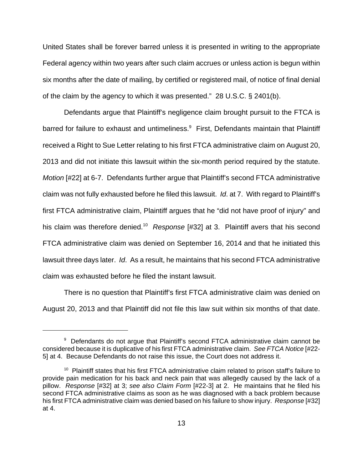United States shall be forever barred unless it is presented in writing to the appropriate Federal agency within two years after such claim accrues or unless action is begun within six months after the date of mailing, by certified or registered mail, of notice of final denial of the claim by the agency to which it was presented." 28 U.S.C. § 2401(b).

Defendants argue that Plaintiff's negligence claim brought pursuit to the FTCA is barred for failure to exhaust and untimeliness.<sup>9</sup> First, Defendants maintain that Plaintiff received a Right to Sue Letter relating to his first FTCA administrative claim on August 20, 2013 and did not initiate this lawsuit within the six-month period required by the statute. Motion [#22] at 6-7. Defendants further argue that Plaintiff's second FTCA administrative claim was not fully exhausted before he filed this lawsuit. Id. at 7. With regard to Plaintiff's first FTCA administrative claim, Plaintiff argues that he "did not have proof of injury" and his claim was therefore denied.<sup>10</sup> Response [#32] at 3. Plaintiff avers that his second FTCA administrative claim was denied on September 16, 2014 and that he initiated this lawsuit three days later. Id. As a result, he maintains that his second FTCA administrative claim was exhausted before he filed the instant lawsuit.

There is no question that Plaintiff's first FTCA administrative claim was denied on August 20, 2013 and that Plaintiff did not file this law suit within six months of that date.

<sup>&</sup>lt;sup>9</sup> Defendants do not argue that Plaintiff's second FTCA administrative claim cannot be considered because it is duplicative of his first FTCA administrative claim. See FTCA Notice [#22- 5] at 4. Because Defendants do not raise this issue, the Court does not address it.

 $10$  Plaintiff states that his first FTCA administrative claim related to prison staff's failure to provide pain medication for his back and neck pain that was allegedly caused by the lack of a pillow. Response [#32] at 3; see also Claim Form [#22-3] at 2. He maintains that he filed his second FTCA administrative claims as soon as he was diagnosed with a back problem because his first FTCA administrative claim was denied based on his failure to show injury. Response [#32] at 4.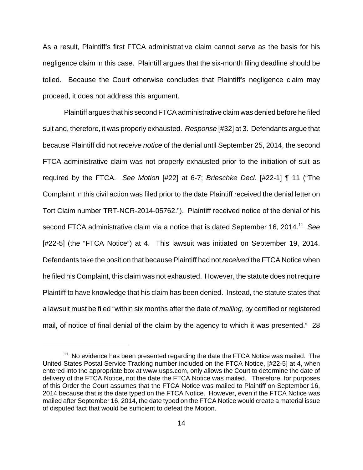As a result, Plaintiff's first FTCA administrative claim cannot serve as the basis for his negligence claim in this case. Plaintiff argues that the six-month filing deadline should be tolled. Because the Court otherwise concludes that Plaintiff's negligence claim may proceed, it does not address this argument.

Plaintiff argues that his second FTCA administrative claim was denied before he filed suit and, therefore, it was properly exhausted. Response [#32] at 3. Defendants argue that because Plaintiff did not receive notice of the denial until September 25, 2014, the second FTCA administrative claim was not properly exhausted prior to the initiation of suit as required by the FTCA. See Motion [#22] at 6-7; Brieschke Decl. [#22-1] ¶ 11 ("The Complaint in this civil action was filed prior to the date Plaintiff received the denial letter on Tort Claim number TRT-NCR-2014-05762."). Plaintiff received notice of the denial of his second FTCA administrative claim via a notice that is dated September 16, 2014.<sup>11</sup> See [#22-5] (the "FTCA Notice") at 4. This lawsuit was initiated on September 19, 2014. Defendants take the position that because Plaintiff had not received the FTCA Notice when he filed his Complaint, this claim was not exhausted. However, the statute does not require Plaintiff to have knowledge that his claim has been denied. Instead, the statute states that a lawsuit must be filed "within six months after the date of mailing, by certified or registered mail, of notice of final denial of the claim by the agency to which it was presented." 28

 $11$  No evidence has been presented regarding the date the FTCA Notice was mailed. The United States Postal Service Tracking number included on the FTCA Notice, [#22-5] at 4, when entered into the appropriate box at www.usps.com, only allows the Court to determine the date of delivery of the FTCA Notice, not the date the FTCA Notice was mailed. Therefore, for purposes of this Order the Court assumes that the FTCA Notice was mailed to Plaintiff on September 16, 2014 because that is the date typed on the FTCA Notice. However, even if the FTCA Notice was mailed after September 16, 2014, the date typed on the FTCA Notice would create a material issue of disputed fact that would be sufficient to defeat the Motion.